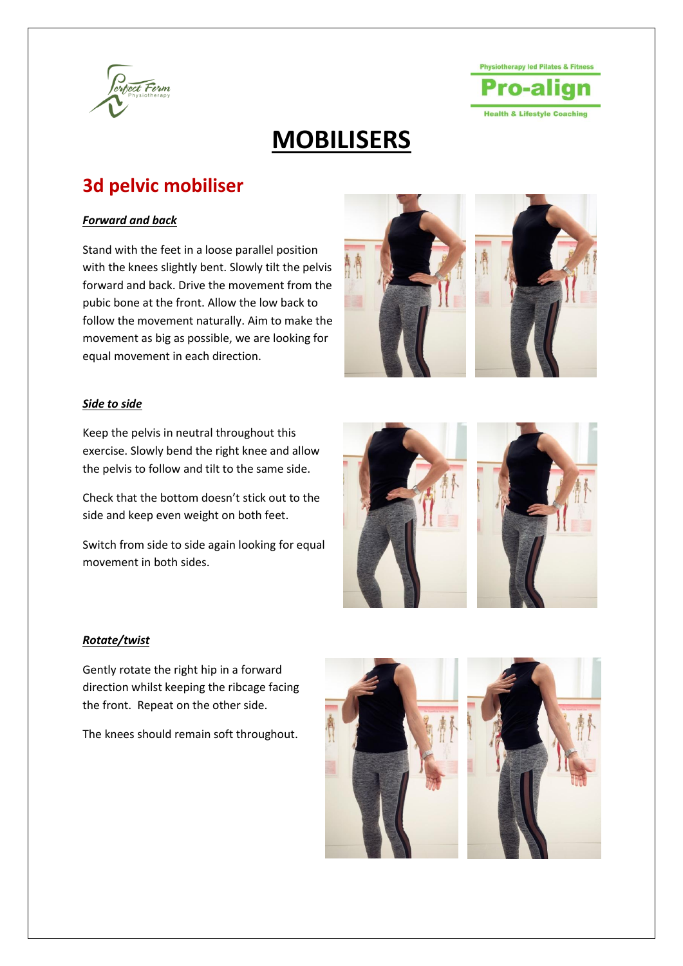

## **Physiotherapy led Pilates & Fitness Health & Lifestyle Coaching**

# **MOBILISERS**

### **3d pelvic mobiliser**

### *Forward and back*

Stand with the feet in a loose parallel position with the knees slightly bent. Slowly tilt the pelvis forward and back. Drive the movement from the pubic bone at the front. Allow the low back to follow the movement naturally. Aim to make the movement as big as possible, we are looking for equal movement in each direction.





### *Side to side*

Keep the pelvis in neutral throughout this exercise. Slowly bend the right knee and allow the pelvis to follow and tilt to the same side.

Check that the bottom doesn't stick out to the side and keep even weight on both feet.

Switch from side to side again looking for equal movement in both sides.



### *Rotate/twist*

Gently rotate the right hip in a forward direction whilst keeping the ribcage facing the front. Repeat on the other side.

The knees should remain soft throughout.

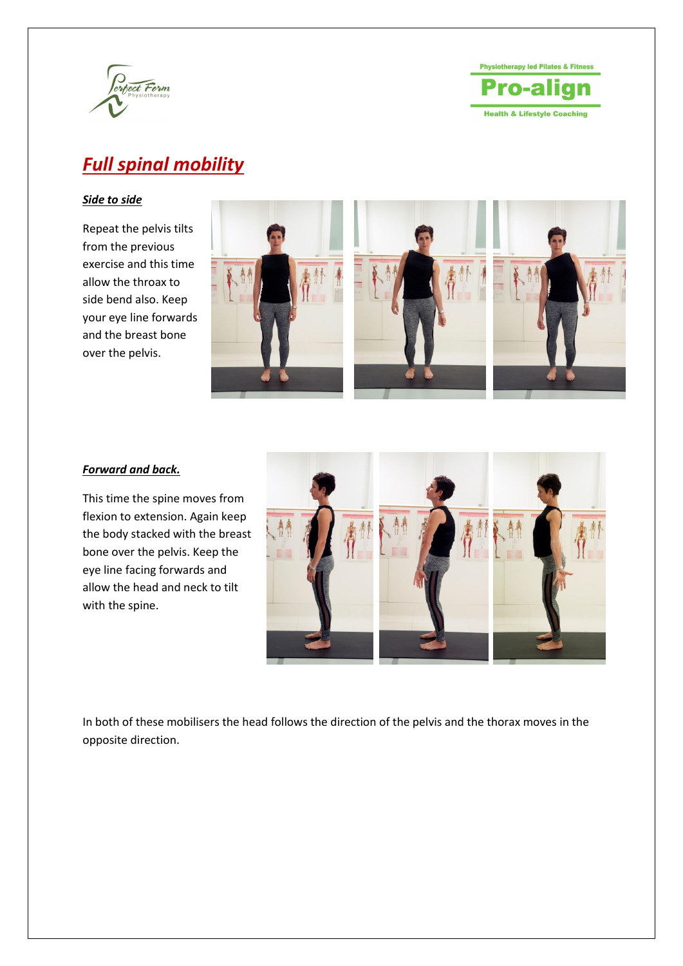



## *Full spinal mobility*

### *Side to side*

Repeat the pelvis tilts from the previous exercise and this time allow the throax to side bend also. Keep your eye line forwards and the breast bone over the pelvis.



### *Forward and back.*

This time the spine moves from flexion to extension. Again keep the body stacked with the breast bone over the pelvis. Keep the eye line facing forwards and allow the head and neck to tilt with the spine.



In both of these mobilisers the head follows the direction of the pelvis and the thorax moves in the opposite direction.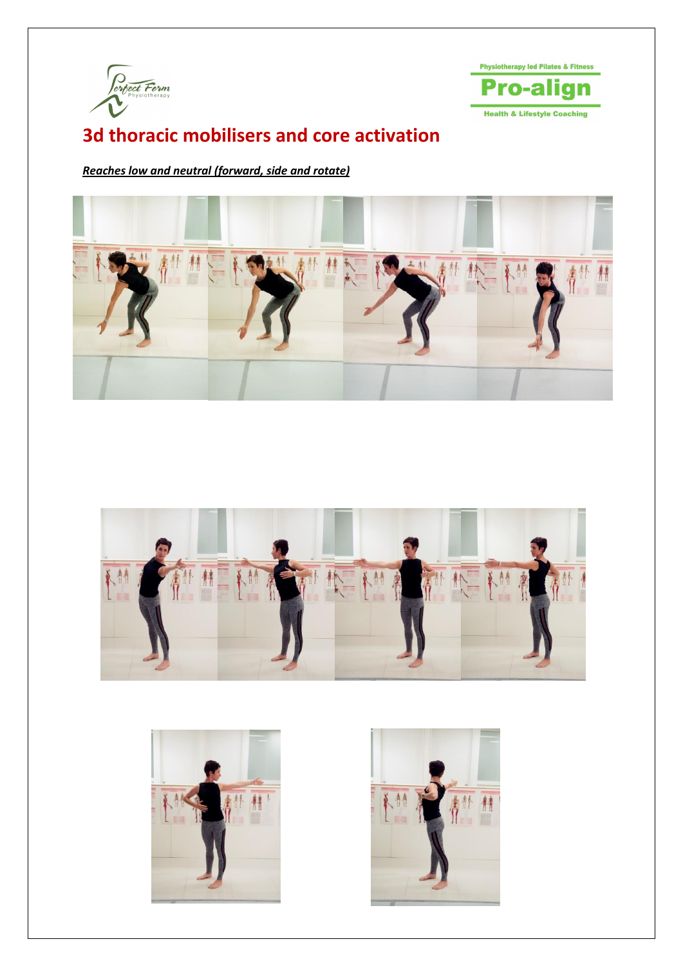



### **3d thoracic mobilisers and core activation**

*Reaches low and neutral (forward, side and rotate)*







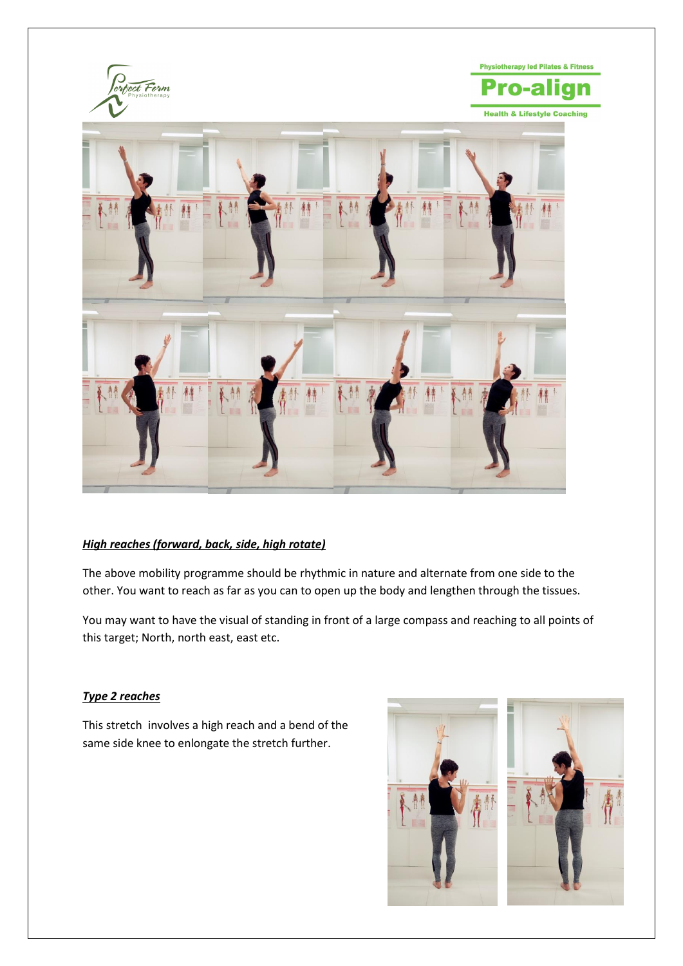

### *High reaches (forward, back, side, high rotate)*

The above mobility programme should be rhythmic in nature and alternate from one side to the other. You want to reach as far as you can to open up the body and lengthen through the tissues.

You may want to have the visual of standing in front of a large compass and reaching to all points of this target; North, north east, east etc.

### *Type 2 reaches*

This stretch involves a high reach and a bend of the same side knee to enlongate the stretch further.

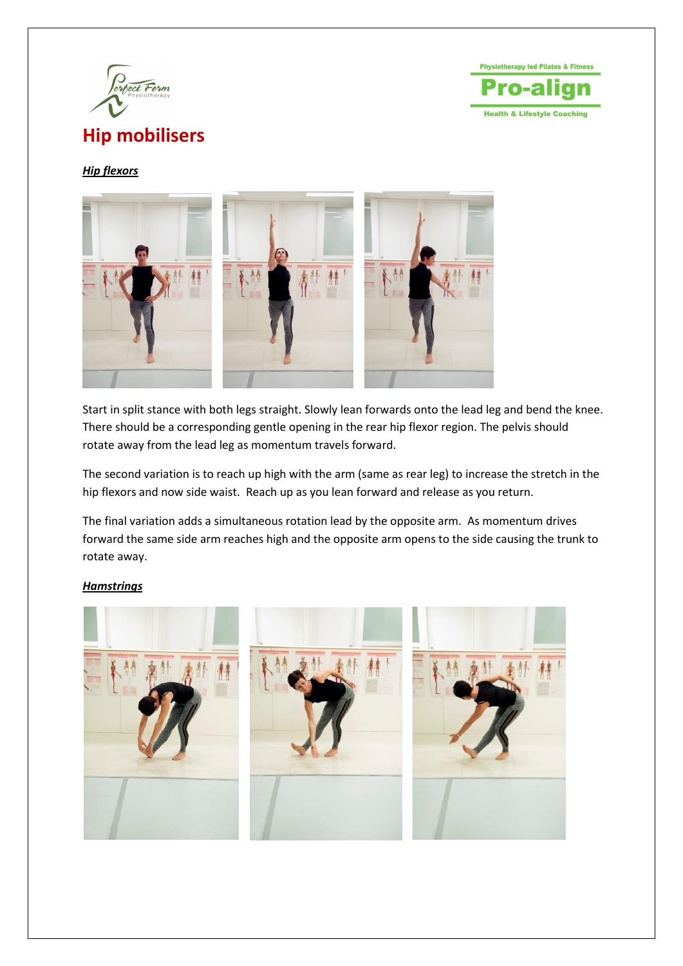

**Physiotherapy led Pilates & Fitness** rn-a **Health & Lifestyle Coaching** 

### *Hip flexors*



Start in split stance with both legs straight. Slowly lean forwards onto the lead leg and bend the knee. There should be a corresponding gentle opening in the rear hip flexor region. The pelvis should rotate away from the lead leg as momentum travels forward.

The second variation is to reach up high with the arm (same as rear leg) to increase the stretch in the hip flexors and now side waist. Reach up as you lean forward and release as you return.

The final variation adds a simultaneous rotation lead by the opposite arm. As momentum drives forward the same side arm reaches high and the opposite arm opens to the side causing the trunk to rotate away.

### *Hamstrings*

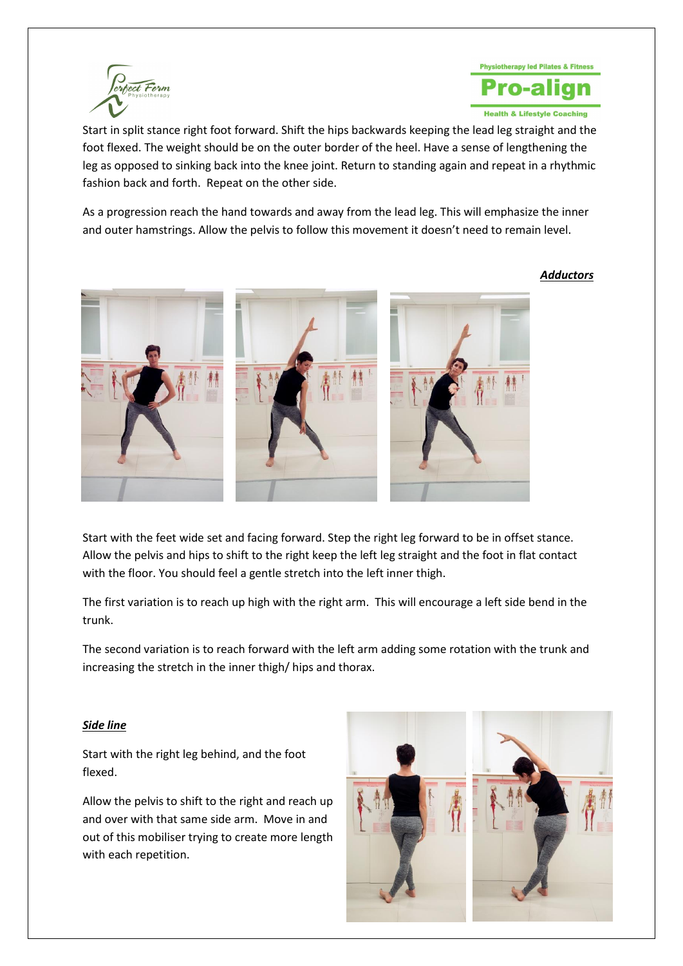



Start in split stance right foot forward. Shift the hips backwards keeping the lead leg straight and the foot flexed. The weight should be on the outer border of the heel. Have a sense of lengthening the leg as opposed to sinking back into the knee joint. Return to standing again and repeat in a rhythmic fashion back and forth. Repeat on the other side.

As a progression reach the hand towards and away from the lead leg. This will emphasize the inner and outer hamstrings. Allow the pelvis to follow this movement it doesn't need to remain level.

### *Adductors*



Start with the feet wide set and facing forward. Step the right leg forward to be in offset stance. Allow the pelvis and hips to shift to the right keep the left leg straight and the foot in flat contact with the floor. You should feel a gentle stretch into the left inner thigh.

The first variation is to reach up high with the right arm. This will encourage a left side bend in the trunk.

The second variation is to reach forward with the left arm adding some rotation with the trunk and increasing the stretch in the inner thigh/ hips and thorax.

### *Side line*

Start with the right leg behind, and the foot flexed.

Allow the pelvis to shift to the right and reach up and over with that same side arm. Move in and out of this mobiliser trying to create more length with each repetition.